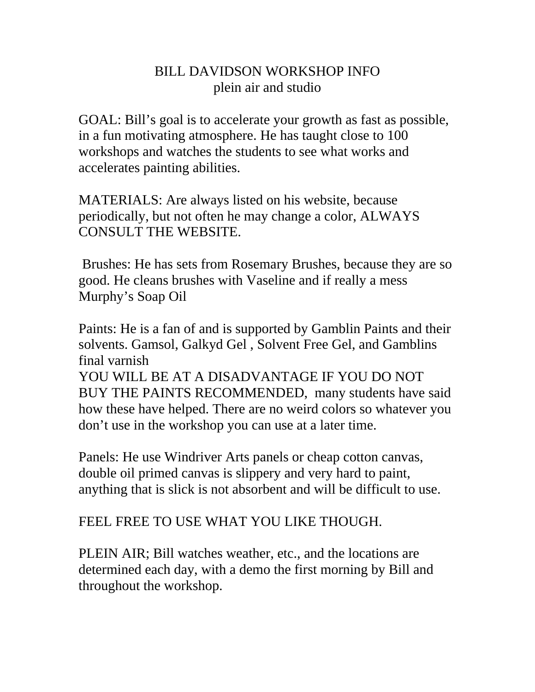## BILL DAVIDSON WORKSHOP INFO plein air and studio

GOAL: Bill's goal is to accelerate your growth as fast as possible, in a fun motivating atmosphere. He has taught close to 100 workshops and watches the students to see what works and accelerates painting abilities.

MATERIALS: Are always listed on his website, because periodically, but not often he may change a color, ALWAYS CONSULT THE WEBSITE.

 Brushes: He has sets from Rosemary Brushes, because they are so good. He cleans brushes with Vaseline and if really a mess Murphy's Soap Oil

Paints: He is a fan of and is supported by Gamblin Paints and their solvents. Gamsol, Galkyd Gel , Solvent Free Gel, and Gamblins final varnish

YOU WILL BE AT A DISADVANTAGE IF YOU DO NOT BUY THE PAINTS RECOMMENDED, many students have said how these have helped. There are no weird colors so whatever you don't use in the workshop you can use at a later time.

Panels: He use Windriver Arts panels or cheap cotton canvas, double oil primed canvas is slippery and very hard to paint, anything that is slick is not absorbent and will be difficult to use.

## FEEL FREE TO USE WHAT YOU LIKE THOUGH.

PLEIN AIR; Bill watches weather, etc., and the locations are determined each day, with a demo the first morning by Bill and throughout the workshop.